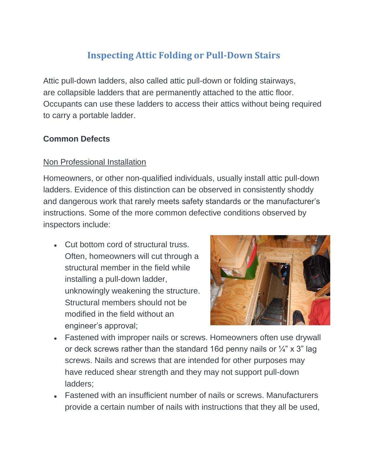# **Inspecting Attic Folding or Pull-Down Stairs**

Attic pull-down ladders, also called attic pull-down or folding stairways, are collapsible ladders that are permanently attached to the attic floor. Occupants can use these ladders to access their attics without being required to carry a portable ladder.

## **Common Defects**

#### Non Professional Installation

Homeowners, or other non-qualified individuals, usually install attic pull-down ladders. Evidence of this distinction can be observed in consistently shoddy and dangerous work that rarely meets safety standards or the manufacturer's instructions. Some of the more common defective conditions observed by inspectors include:

• Cut bottom cord of structural truss. Often, homeowners will cut through a structural member in the field while installing a pull-down ladder, unknowingly weakening the structure. Structural members should not be modified in the field without an engineer's approval;



- Fastened with improper nails or screws. Homeowners often use drywall or deck screws rather than the standard 16d penny nails or  $\frac{1}{4}$ " x 3" lag screws. Nails and screws that are intended for other purposes may have reduced shear strength and they may not support pull-down ladders;
- Fastened with an insufficient number of nails or screws. Manufacturers provide a certain number of nails with instructions that they all be used,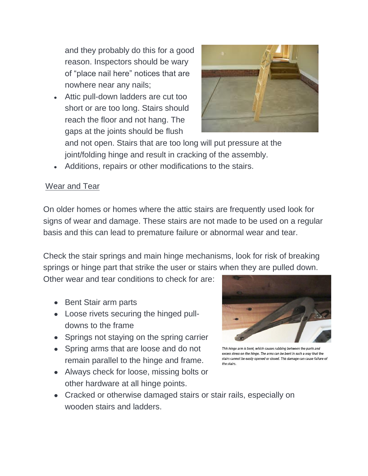and they probably do this for a good reason. Inspectors should be wary of "place nail here" notices that are nowhere near any nails;

Attic pull-down ladders are cut too short or are too long. Stairs should reach the floor and not hang. The gaps at the joints should be flush



and not open. Stairs that are too long will put pressure at the joint/folding hinge and result in cracking of the assembly.

Additions, repairs or other modifications to the stairs.

## Wear and Tear

On older homes or homes where the attic stairs are frequently used look for signs of wear and damage. These stairs are not made to be used on a regular basis and this can lead to premature failure or abnormal wear and tear.

Check the stair springs and main hinge mechanisms, look for risk of breaking springs or hinge part that strike the user or stairs when they are pulled down.

Other wear and tear conditions to check for are:

- Bent Stair arm parts
- Loose rivets securing the hinged pulldowns to the frame
- Springs not staying on the spring carrier
- Spring arms that are loose and do not remain parallel to the hinge and frame.
- Always check for loose, missing bolts or other hardware at all hinge points.



This hinge arm is bent, which causes rubbing between the parts and excess stress on the hinge. The arms can be bent in such a way that the stairs cannot be easily opened or closed. This damage can cause failure of the stairs.

Cracked or otherwise damaged stairs or stair rails, especially on wooden stairs and ladders.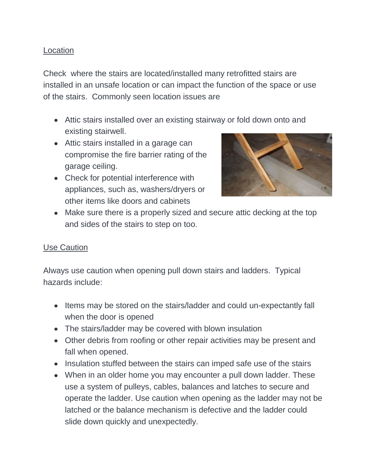#### Location

Check where the stairs are located/installed many retrofitted stairs are installed in an unsafe location or can impact the function of the space or use of the stairs. Commonly seen location issues are

- Attic stairs installed over an existing stairway or fold down onto and existing stairwell.
- Attic stairs installed in a garage can compromise the fire barrier rating of the garage ceiling.
- Check for potential interference with appliances, such as, washers/dryers or other items like doors and cabinets



Make sure there is a properly sized and secure attic decking at the top and sides of the stairs to step on too.

#### Use Caution

Always use caution when opening pull down stairs and ladders. Typical hazards include:

- Items may be stored on the stairs/ladder and could un-expectantly fall when the door is opened
- The stairs/ladder may be covered with blown insulation
- Other debris from roofing or other repair activities may be present and fall when opened.
- Insulation stuffed between the stairs can imped safe use of the stairs
- When in an older home you may encounter a pull down ladder. These use a system of pulleys, cables, balances and latches to secure and operate the ladder. Use caution when opening as the ladder may not be latched or the balance mechanism is defective and the ladder could slide down quickly and unexpectedly.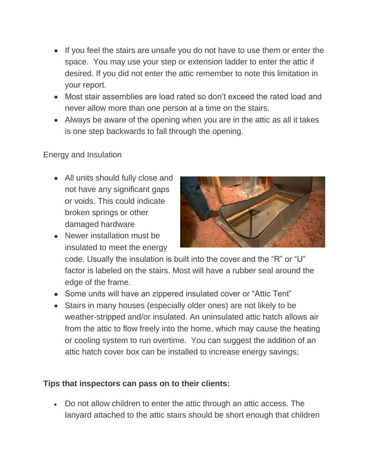- If you feel the stairs are unsafe you do not have to use them or enter the space. You may use your step or extension ladder to enter the attic if desired. If you did not enter the attic remember to note this limitation in your report.
- Most stair assemblies are load rated so don't exceed the rated load and never allow more than one person at a time on the stairs.
- Always be aware of the opening when you are in the attic as all it takes is one step backwards to fall through the opening.

#### Energy and Insulation

- All units should fully close and not have any significant gaps or voids. This could indicate broken springs or other damaged hardware
- Newer installation must be insulated to meet the energy



code. Usually the insulation is built into the cover and the "R" or "U" factor is labeled on the stairs. Most will have a rubber seal around the edge of the frame.

- Some units will have an zippered insulated cover or "Attic Tent"
- Stairs in many houses (especially older ones) are not likely to be weather-stripped and/or insulated. An uninsulated attic hatch allows air from the attic to flow freely into the home, which may cause the heating or cooling system to run overtime. You can suggest the addition of an attic hatch cover box can be installed to increase energy savings;

### **Tips that inspectors can pass on to their clients:**

Do not allow children to enter the attic through an attic access. The lanyard attached to the attic stairs should be short enough that children